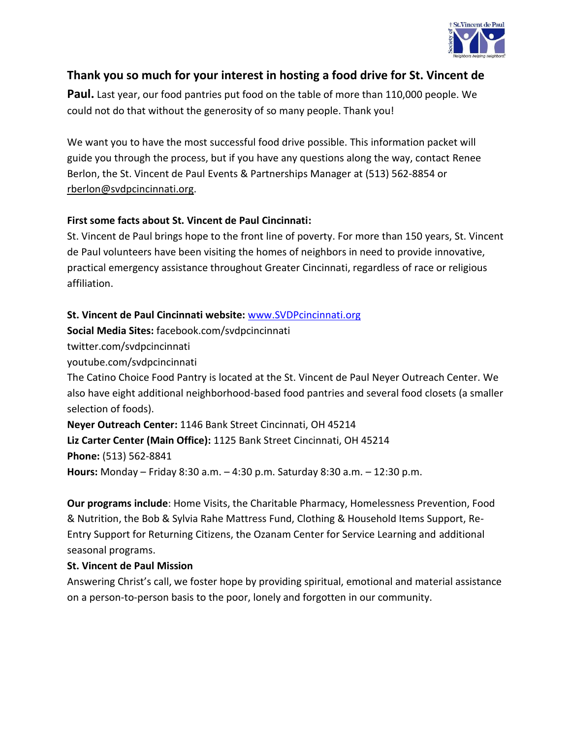

## **Thank you so much for your interest in hosting a food drive for St. Vincent de**

**Paul.** Last year, our food pantries put food on the table of more than 110,000 people. We could not do that without the generosity of so many people. Thank you!

We want you to have the most successful food drive possible. This information packet will guide you through the process, but if you have any questions along the way, contact Renee Berlon, the St. Vincent de Paul Events & Partnerships Manager at (513) 562-8854 or rberlon@svdpcincinnati.org.

## **First some facts about St. Vincent de Paul Cincinnati:**

St. Vincent de Paul brings hope to the front line of poverty. For more than 150 years, St. Vincent de Paul volunteers have been visiting the homes of neighbors in need to provide innovative, practical emergency assistance throughout Greater Cincinnati, regardless of race or religious affiliation.

### **St. Vincent de Paul Cincinnati website:** [www.SVDPcincinnati.org](http://www.svdpcincinnati.org/)

**Social Media Sites:** facebook.com/svdpcincinnati

twitter.com/svdpcincinnati

youtube.com/svdpcincinnati

The Catino Choice Food Pantry is located at the St. Vincent de Paul Neyer Outreach Center. We also have eight additional neighborhood-based food pantries and several food closets (a smaller selection of foods).

**Neyer Outreach Center:** 1146 Bank Street Cincinnati, OH 45214 **Liz Carter Center (Main Office):** 1125 Bank Street Cincinnati, OH 45214 **Phone:** (513) 562-8841 **Hours:** Monday – Friday 8:30 a.m. – 4:30 p.m. Saturday 8:30 a.m. – 12:30 p.m.

**Our programs include**: Home Visits, the Charitable Pharmacy, Homelessness Prevention, Food & Nutrition, the Bob & Sylvia Rahe Mattress Fund, Clothing & Household Items Support, Re-Entry Support for Returning Citizens, the Ozanam Center for Service Learning and additional seasonal programs.

### **St. Vincent de Paul Mission**

Answering Christ's call, we foster hope by providing spiritual, emotional and material assistance on a person-to-person basis to the poor, lonely and forgotten in our community.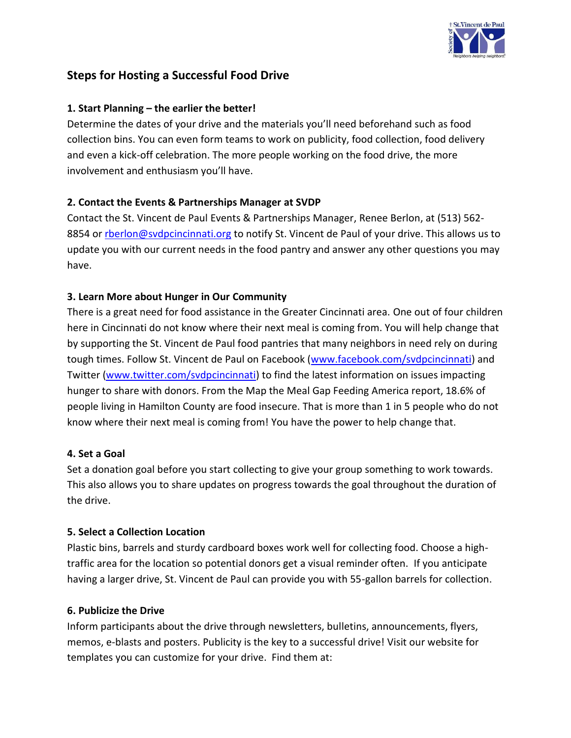

# **Steps for Hosting a Successful Food Drive**

## **1. Start Planning – the earlier the better!**

Determine the dates of your drive and the materials you'll need beforehand such as food collection bins. You can even form teams to work on publicity, food collection, food delivery and even a kick-off celebration. The more people working on the food drive, the more involvement and enthusiasm you'll have.

## **2. Contact the Events & Partnerships Manager at SVDP**

Contact the St. Vincent de Paul Events & Partnerships Manager, Renee Berlon, at (513) 562 8854 or [rberlon@svdpcincinnati.org](mailto:rberlon@svdpcincinnati.org) to notify St. Vincent de Paul of your drive. This allows us to update you with our current needs in the food pantry and answer any other questions you may have.

## **3. Learn More about Hunger in Our Community**

There is a great need for food assistance in the Greater Cincinnati area. One out of four children here in Cincinnati do not know where their next meal is coming from. You will help change that by supporting the St. Vincent de Paul food pantries that many neighbors in need rely on during tough times. Follow St. Vincent de Paul on Facebook [\(www.facebook.com/svdpcincinnati\)](http://www.facebook.com/svdpcincinnati) and Twitter [\(www.twitter.com/svdpcincinnati\)](http://www.twitter.com/svdpcincinnati) to find the latest information on issues impacting hunger to share with donors. From the Map the Meal Gap Feeding America report, 18.6% of people living in Hamilton County are food insecure. That is more than 1 in 5 people who do not know where their next meal is coming from! You have the power to help change that.

### **4. Set a Goal**

Set a donation goal before you start collecting to give your group something to work towards. This also allows you to share updates on progress towards the goal throughout the duration of the drive.

### **5. Select a Collection Location**

Plastic bins, barrels and sturdy cardboard boxes work well for collecting food. Choose a hightraffic area for the location so potential donors get a visual reminder often. If you anticipate having a larger drive, St. Vincent de Paul can provide you with 55-gallon barrels for collection.

### **6. Publicize the Drive**

Inform participants about the drive through newsletters, bulletins, announcements, flyers, memos, e-blasts and posters. Publicity is the key to a successful drive! Visit our website for templates you can customize for your drive. Find them at: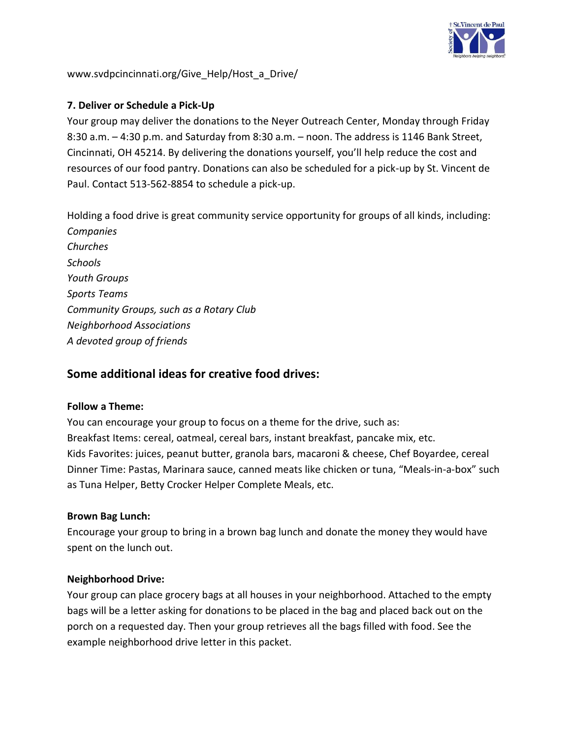

www.svdpcincinnati.org/Give\_Help/Host\_a\_Drive/

### **7. Deliver or Schedule a Pick-Up**

Your group may deliver the donations to the Neyer Outreach Center, Monday through Friday 8:30 a.m. – 4:30 p.m. and Saturday from 8:30 a.m. – noon. The address is 1146 Bank Street, Cincinnati, OH 45214. By delivering the donations yourself, you'll help reduce the cost and resources of our food pantry. Donations can also be scheduled for a pick-up by St. Vincent de Paul. Contact 513-562-8854 to schedule a pick-up.

Holding a food drive is great community service opportunity for groups of all kinds, including: *Companies Churches Schools Youth Groups Sports Teams Community Groups, such as a Rotary Club Neighborhood Associations A devoted group of friends*

## **Some additional ideas for creative food drives:**

#### **Follow a Theme:**

You can encourage your group to focus on a theme for the drive, such as: Breakfast Items: cereal, oatmeal, cereal bars, instant breakfast, pancake mix, etc. Kids Favorites: juices, peanut butter, granola bars, macaroni & cheese, Chef Boyardee, cereal Dinner Time: Pastas, Marinara sauce, canned meats like chicken or tuna, "Meals-in-a-box" such as Tuna Helper, Betty Crocker Helper Complete Meals, etc.

#### **Brown Bag Lunch:**

Encourage your group to bring in a brown bag lunch and donate the money they would have spent on the lunch out.

### **Neighborhood Drive:**

Your group can place grocery bags at all houses in your neighborhood. Attached to the empty bags will be a letter asking for donations to be placed in the bag and placed back out on the porch on a requested day. Then your group retrieves all the bags filled with food. See the example neighborhood drive letter in this packet.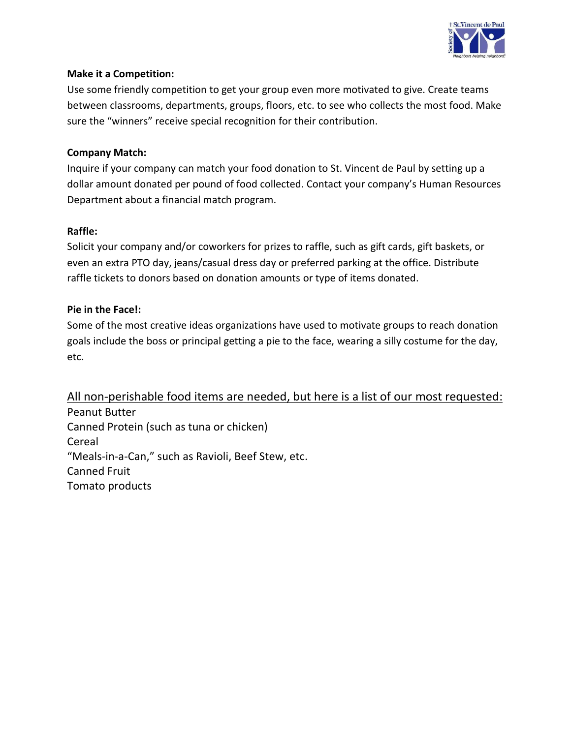

### **Make it a Competition:**

Use some friendly competition to get your group even more motivated to give. Create teams between classrooms, departments, groups, floors, etc. to see who collects the most food. Make sure the "winners" receive special recognition for their contribution.

### **Company Match:**

Inquire if your company can match your food donation to St. Vincent de Paul by setting up a dollar amount donated per pound of food collected. Contact your company's Human Resources Department about a financial match program.

### **Raffle:**

Solicit your company and/or coworkers for prizes to raffle, such as gift cards, gift baskets, or even an extra PTO day, jeans/casual dress day or preferred parking at the office. Distribute raffle tickets to donors based on donation amounts or type of items donated.

### **Pie in the Face!:**

Some of the most creative ideas organizations have used to motivate groups to reach donation goals include the boss or principal getting a pie to the face, wearing a silly costume for the day, etc.

All non-perishable food items are needed, but here is a list of our most requested: Peanut Butter Canned Protein (such as tuna or chicken) Cereal "Meals-in-a-Can," such as Ravioli, Beef Stew, etc. Canned Fruit Tomato products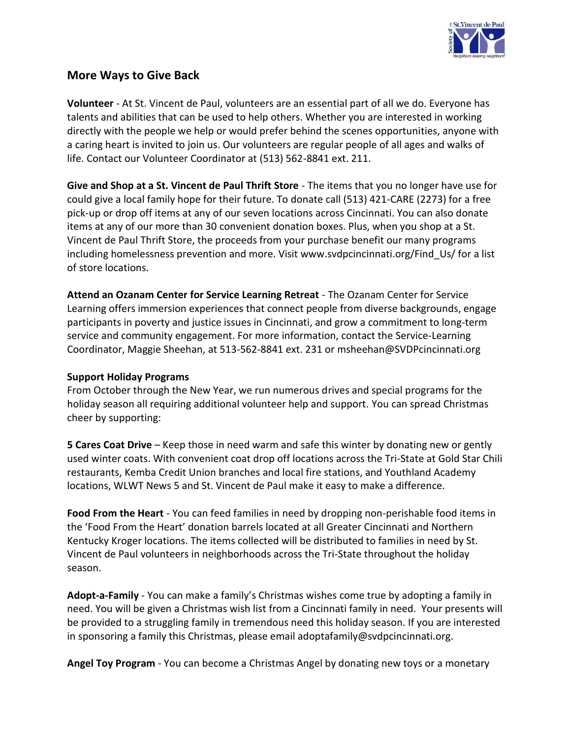

## **More Ways to Give Back**

**Volunteer** - At St. Vincent de Paul, volunteers are an essential part of all we do. Everyone has talents and abilities that can be used to help others. Whether you are interested in working directly with the people we help or would prefer behind the scenes opportunities, anyone with a caring heart is invited to join us. Our volunteers are regular people of all ages and walks of life. Contact our Volunteer Coordinator at (513) 562-8841 ext. 211.

**Give and Shop at a St. Vincent de Paul Thrift Store** - The items that you no longer have use for could give a local family hope for their future. To donate call (513) 421-CARE (2273) for a free pick-up or drop off items at any of our seven locations across Cincinnati. You can also donate items at any of our more than 30 convenient donation boxes. Plus, when you shop at a St. Vincent de Paul Thrift Store, the proceeds from your purchase benefit our many programs including homelessness prevention and more. Visit www.svdpcincinnati.org/Find\_Us/ for a list of store locations.

**Attend an Ozanam Center for Service Learning Retreat** - The Ozanam Center for Service Learning offers immersion experiences that connect people from diverse backgrounds, engage participants in poverty and justice issues in Cincinnati, and grow a commitment to long-term service and community engagement. For more information, contact the Service-Learning Coordinator, Maggie Sheehan, at 513-562-8841 ext. 231 or msheehan@SVDPcincinnati.org

#### **Support Holiday Programs**

From October through the New Year, we run numerous drives and special programs for the holiday season all requiring additional volunteer help and support. You can spread Christmas cheer by supporting:

**5 Cares Coat Drive** – Keep those in need warm and safe this winter by donating new or gently used winter coats. With convenient coat drop off locations across the Tri-State at Gold Star Chili restaurants, Kemba Credit Union branches and local fire stations, and Youthland Academy locations, WLWT News 5 and St. Vincent de Paul make it easy to make a difference.

**Food From the Heart** - You can feed families in need by dropping non-perishable food items in the 'Food From the Heart' donation barrels located at all Greater Cincinnati and Northern Kentucky Kroger locations. The items collected will be distributed to families in need by St. Vincent de Paul volunteers in neighborhoods across the Tri-State throughout the holiday season.

**Adopt-a-Family** - You can make a family's Christmas wishes come true by adopting a family in need. You will be given a Christmas wish list from a Cincinnati family in need. Your presents will be provided to a struggling family in tremendous need this holiday season. If you are interested in sponsoring a family this Christmas, please email adoptafamily@svdpcincinnati.org.

**Angel Toy Program** - You can become a Christmas Angel by donating new toys or a monetary